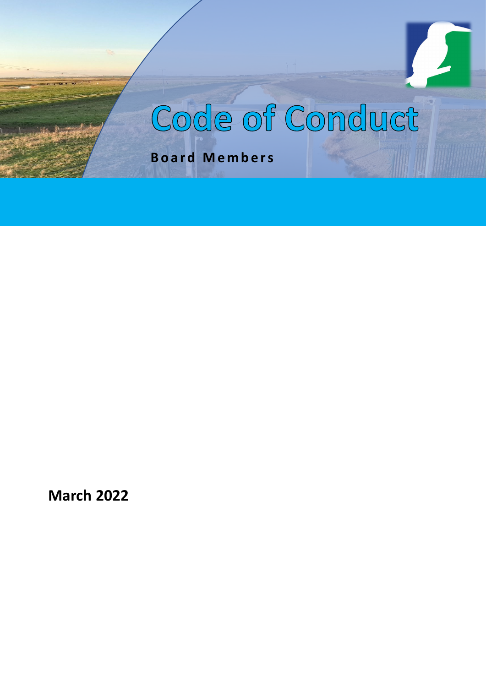# Code of Conduct

**Board Members**

**March 2022**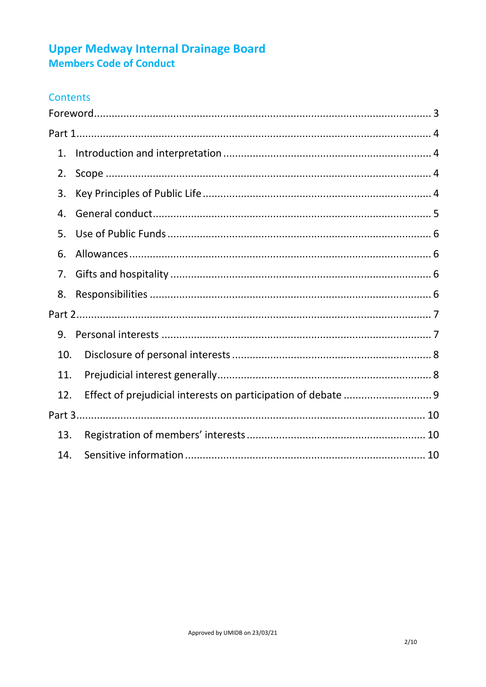## **Upper Medway Internal Drainage Board** Members Code of Conduct

### Contents

| 1.  |  |
|-----|--|
| 2.  |  |
| 3.  |  |
| 4.  |  |
| 5.  |  |
| 6.  |  |
| 7.  |  |
| 8.  |  |
|     |  |
| 9.  |  |
| 10. |  |
| 11. |  |
| 12. |  |
|     |  |
| 13. |  |
| 14. |  |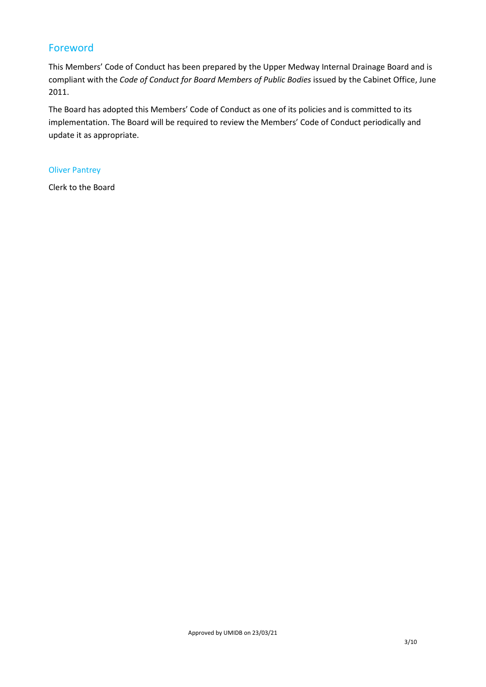#### <span id="page-2-0"></span>Foreword

This Members' Code of Conduct has been prepared by the Upper Medway Internal Drainage Board and is compliant with the *Code of Conduct for Board Members of Public Bodies* issued by the Cabinet Office, June 2011.

The Board has adopted this Members' Code of Conduct as one of its policies and is committed to its implementation. The Board will be required to review the Members' Code of Conduct periodically and update it as appropriate.

#### Oliver Pantrey

Clerk to the Board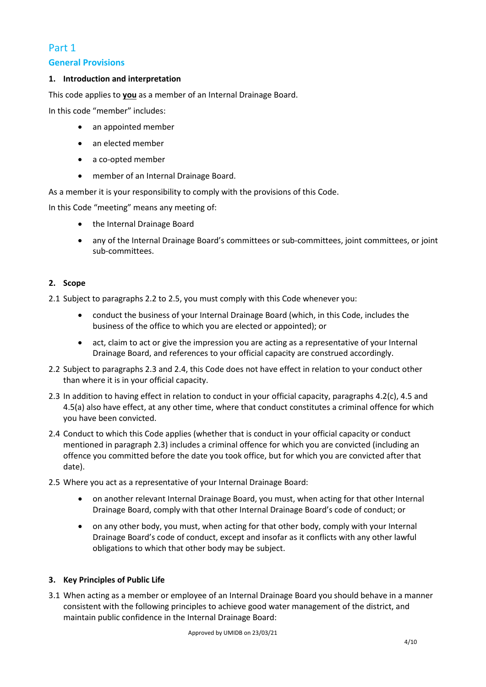# <span id="page-3-0"></span>Part 1

#### **General Provisions**

#### <span id="page-3-1"></span>**1. Introduction and interpretation**

This code applies to **you** as a member of an Internal Drainage Board.

In this code "member" includes:

- an appointed member
- an elected member
- a co-opted member
- member of an Internal Drainage Board.

As a member it is your responsibility to comply with the provisions of this Code.

In this Code "meeting" means any meeting of:

- the Internal Drainage Board
- any of the Internal Drainage Board's committees or sub-committees, joint committees, or joint sub-committees.

#### <span id="page-3-2"></span>**2. Scope**

- 2.1 Subject to paragraphs 2.2 to 2.5, you must comply with this Code whenever you:
	- conduct the business of your Internal Drainage Board (which, in this Code, includes the business of the office to which you are elected or appointed); or
	- act, claim to act or give the impression you are acting as a representative of your Internal Drainage Board, and references to your official capacity are construed accordingly.
- 2.2 Subject to paragraphs 2.3 and 2.4, this Code does not have effect in relation to your conduct other than where it is in your official capacity.
- 2.3 In addition to having effect in relation to conduct in your official capacity, paragraphs 4.2(c), 4.5 and 4.5(a) also have effect, at any other time, where that conduct constitutes a criminal offence for which you have been convicted.
- 2.4 Conduct to which this Code applies (whether that is conduct in your official capacity or conduct mentioned in paragraph 2.3) includes a criminal offence for which you are convicted (including an offence you committed before the date you took office, but for which you are convicted after that date).
- 2.5 Where you act as a representative of your Internal Drainage Board:
	- on another relevant Internal Drainage Board, you must, when acting for that other Internal Drainage Board, comply with that other Internal Drainage Board's code of conduct; or
	- on any other body, you must, when acting for that other body, comply with your Internal Drainage Board's code of conduct, except and insofar as it conflicts with any other lawful obligations to which that other body may be subject.

#### <span id="page-3-3"></span>**3. Key Principles of Public Life**

3.1 When acting as a member or employee of an Internal Drainage Board you should behave in a manner consistent with the following principles to achieve good water management of the district, and maintain public confidence in the Internal Drainage Board: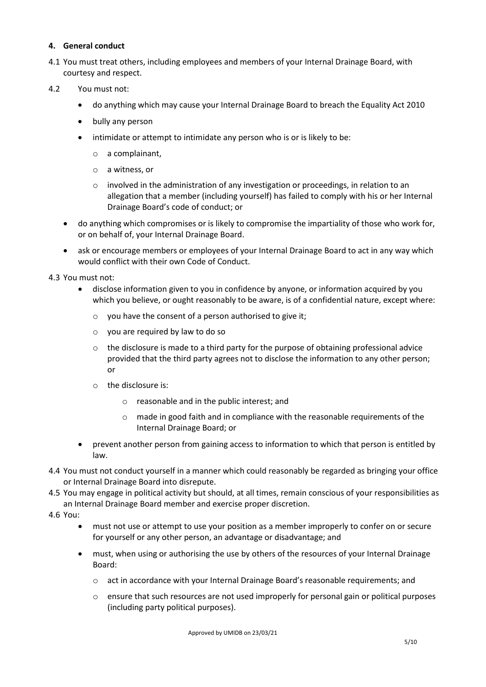#### <span id="page-4-0"></span>**4. General conduct**

- 4.1 You must treat others, including employees and members of your Internal Drainage Board, with courtesy and respect.
- 4.2 You must not:
	- do anything which may cause your Internal Drainage Board to breach the Equality Act 2010
	- bully any person
	- intimidate or attempt to intimidate any person who is or is likely to be:
		- o a complainant,
		- o a witness, or
		- $\circ$  involved in the administration of any investigation or proceedings, in relation to an allegation that a member (including yourself) has failed to comply with his or her Internal Drainage Board's code of conduct; or
	- do anything which compromises or is likely to compromise the impartiality of those who work for, or on behalf of, your Internal Drainage Board.
	- ask or encourage members or employees of your Internal Drainage Board to act in any way which would conflict with their own Code of Conduct.

4.3 You must not:

- disclose information given to you in confidence by anyone, or information acquired by you which you believe, or ought reasonably to be aware, is of a confidential nature, except where:
	- o you have the consent of a person authorised to give it;
	- o you are required by law to do so
	- $\circ$  the disclosure is made to a third party for the purpose of obtaining professional advice provided that the third party agrees not to disclose the information to any other person; or
	- o the disclosure is:
		- o reasonable and in the public interest; and
		- $\circ$  made in good faith and in compliance with the reasonable requirements of the Internal Drainage Board; or
- prevent another person from gaining access to information to which that person is entitled by law.
- 4.4 You must not conduct yourself in a manner which could reasonably be regarded as bringing your office or Internal Drainage Board into disrepute.
- 4.5 You may engage in political activity but should, at all times, remain conscious of your responsibilities as an Internal Drainage Board member and exercise proper discretion.
- 4.6 You:
	- must not use or attempt to use your position as a member improperly to confer on or secure for yourself or any other person, an advantage or disadvantage; and
	- must, when using or authorising the use by others of the resources of your Internal Drainage Board:
		- o act in accordance with your Internal Drainage Board's reasonable requirements; and
		- $\circ$  ensure that such resources are not used improperly for personal gain or political purposes (including party political purposes).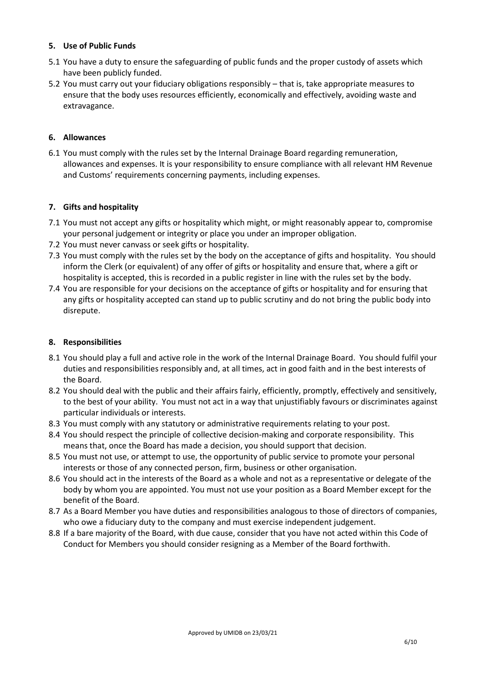#### <span id="page-5-0"></span>**5. Use of Public Funds**

- 5.1 You have a duty to ensure the safeguarding of public funds and the proper custody of assets which have been publicly funded.
- 5.2 You must carry out your fiduciary obligations responsibly that is, take appropriate measures to ensure that the body uses resources efficiently, economically and effectively, avoiding waste and extravagance.

#### <span id="page-5-1"></span>**6. Allowances**

6.1 You must comply with the rules set by the Internal Drainage Board regarding remuneration, allowances and expenses. It is your responsibility to ensure compliance with all relevant HM Revenue and Customs' requirements concerning payments, including expenses.

#### <span id="page-5-2"></span>**7. Gifts and hospitality**

- 7.1 You must not accept any gifts or hospitality which might, or might reasonably appear to, compromise your personal judgement or integrity or place you under an improper obligation.
- 7.2 You must never canvass or seek gifts or hospitality.
- 7.3 You must comply with the rules set by the body on the acceptance of gifts and hospitality. You should inform the Clerk (or equivalent) of any offer of gifts or hospitality and ensure that, where a gift or hospitality is accepted, this is recorded in a public register in line with the rules set by the body.
- 7.4 You are responsible for your decisions on the acceptance of gifts or hospitality and for ensuring that any gifts or hospitality accepted can stand up to public scrutiny and do not bring the public body into disrepute.

#### <span id="page-5-3"></span>**8. Responsibilities**

- 8.1 You should play a full and active role in the work of the Internal Drainage Board. You should fulfil your duties and responsibilities responsibly and, at all times, act in good faith and in the best interests of the Board.
- 8.2 You should deal with the public and their affairs fairly, efficiently, promptly, effectively and sensitively, to the best of your ability. You must not act in a way that unjustifiably favours or discriminates against particular individuals or interests.
- 8.3 You must comply with any statutory or administrative requirements relating to your post.
- 8.4 You should respect the principle of collective decision-making and corporate responsibility. This means that, once the Board has made a decision, you should support that decision.
- 8.5 You must not use, or attempt to use, the opportunity of public service to promote your personal interests or those of any connected person, firm, business or other organisation.
- 8.6 You should act in the interests of the Board as a whole and not as a representative or delegate of the body by whom you are appointed. You must not use your position as a Board Member except for the benefit of the Board.
- 8.7 As a Board Member you have duties and responsibilities analogous to those of directors of companies, who owe a fiduciary duty to the company and must exercise independent judgement.
- 8.8 If a bare majority of the Board, with due cause, consider that you have not acted within this Code of Conduct for Members you should consider resigning as a Member of the Board forthwith.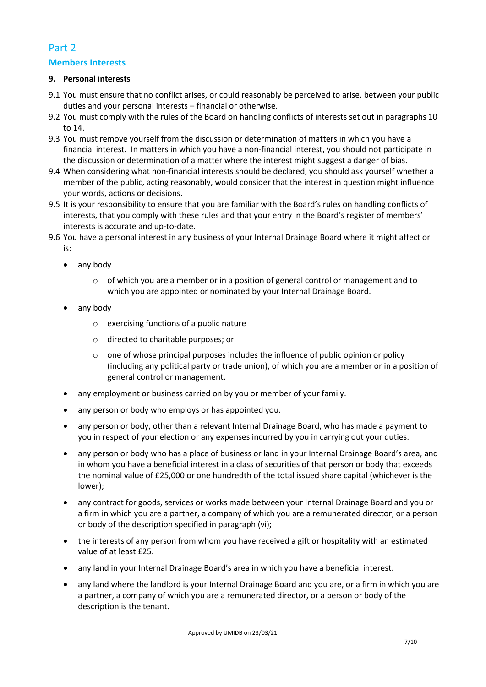# <span id="page-6-0"></span>Part 2

#### **Members Interests**

#### <span id="page-6-1"></span>**9. Personal interests**

- 9.1 You must ensure that no conflict arises, or could reasonably be perceived to arise, between your public duties and your personal interests – financial or otherwise.
- 9.2 You must comply with the rules of the Board on handling conflicts of interests set out in paragraphs 10 to 14.
- 9.3 You must remove yourself from the discussion or determination of matters in which you have a financial interest. In matters in which you have a non-financial interest, you should not participate in the discussion or determination of a matter where the interest might suggest a danger of bias.
- 9.4 When considering what non-financial interests should be declared, you should ask yourself whether a member of the public, acting reasonably, would consider that the interest in question might influence your words, actions or decisions.
- 9.5 It is your responsibility to ensure that you are familiar with the Board's rules on handling conflicts of interests, that you comply with these rules and that your entry in the Board's register of members' interests is accurate and up-to-date.
- 9.6 You have a personal interest in any business of your Internal Drainage Board where it might affect or is:
	- any body
		- o of which you are a member or in a position of general control or management and to which you are appointed or nominated by your Internal Drainage Board.
	- any body
		- o exercising functions of a public nature
		- o directed to charitable purposes; or
		- $\circ$  one of whose principal purposes includes the influence of public opinion or policy (including any political party or trade union), of which you are a member or in a position of general control or management.
	- any employment or business carried on by you or member of your family.
	- any person or body who employs or has appointed you.
	- any person or body, other than a relevant Internal Drainage Board, who has made a payment to you in respect of your election or any expenses incurred by you in carrying out your duties.
	- any person or body who has a place of business or land in your Internal Drainage Board's area, and in whom you have a beneficial interest in a class of securities of that person or body that exceeds the nominal value of £25,000 or one hundredth of the total issued share capital (whichever is the lower);
	- any contract for goods, services or works made between your Internal Drainage Board and you or a firm in which you are a partner, a company of which you are a remunerated director, or a person or body of the description specified in paragraph (vi);
	- the interests of any person from whom you have received a gift or hospitality with an estimated value of at least £25.
	- any land in your Internal Drainage Board's area in which you have a beneficial interest.
	- any land where the landlord is your Internal Drainage Board and you are, or a firm in which you are a partner, a company of which you are a remunerated director, or a person or body of the description is the tenant.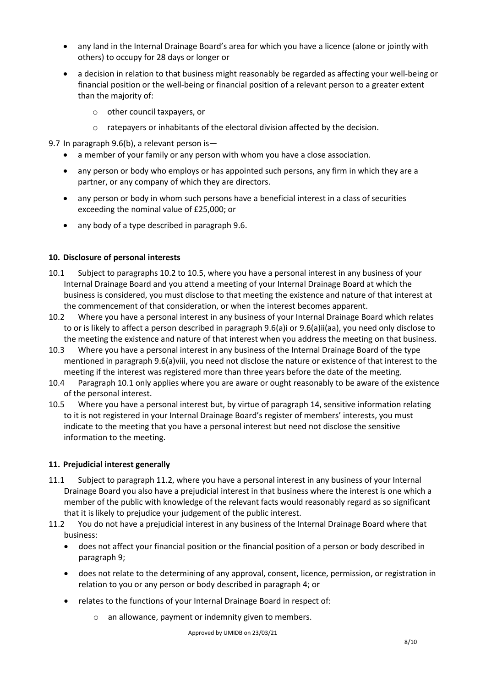- any land in the Internal Drainage Board's area for which you have a licence (alone or jointly with others) to occupy for 28 days or longer or
- a decision in relation to that business might reasonably be regarded as affecting your well-being or financial position or the well-being or financial position of a relevant person to a greater extent than the majority of:
	- o other council taxpayers, or
	- o ratepayers or inhabitants of the electoral division affected by the decision.

9.7 In paragraph 9.6(b), a relevant person is-

- a member of your family or any person with whom you have a close association.
- any person or body who employs or has appointed such persons, any firm in which they are a partner, or any company of which they are directors.
- any person or body in whom such persons have a beneficial interest in a class of securities exceeding the nominal value of £25,000; or
- any body of a type described in paragraph 9.6.

#### <span id="page-7-0"></span>**10. Disclosure of personal interests**

- 10.1 Subject to paragraphs 10.2 to 10.5, where you have a personal interest in any business of your Internal Drainage Board and you attend a meeting of your Internal Drainage Board at which the business is considered, you must disclose to that meeting the existence and nature of that interest at the commencement of that consideration, or when the interest becomes apparent.
- 10.2 Where you have a personal interest in any business of your Internal Drainage Board which relates to or is likely to affect a person described in paragraph 9.6(a)i or 9.6(a)ii(aa), you need only disclose to the meeting the existence and nature of that interest when you address the meeting on that business.
- 10.3 Where you have a personal interest in any business of the Internal Drainage Board of the type mentioned in paragraph 9.6(a)viii, you need not disclose the nature or existence of that interest to the meeting if the interest was registered more than three years before the date of the meeting.
- 10.4 Paragraph 10.1 only applies where you are aware or ought reasonably to be aware of the existence of the personal interest.
- 10.5 Where you have a personal interest but, by virtue of paragraph 14, sensitive information relating to it is not registered in your Internal Drainage Board's register of members' interests, you must indicate to the meeting that you have a personal interest but need not disclose the sensitive information to the meeting.

#### <span id="page-7-1"></span>**11. Prejudicial interest generally**

- 11.1 Subject to paragraph 11.2, where you have a personal interest in any business of your Internal Drainage Board you also have a prejudicial interest in that business where the interest is one which a member of the public with knowledge of the relevant facts would reasonably regard as so significant that it is likely to prejudice your judgement of the public interest.
- 11.2 You do not have a prejudicial interest in any business of the Internal Drainage Board where that business:
	- does not affect your financial position or the financial position of a person or body described in paragraph 9;
	- does not relate to the determining of any approval, consent, licence, permission, or registration in relation to you or any person or body described in paragraph 4; or
	- relates to the functions of your Internal Drainage Board in respect of:
		- o an allowance, payment or indemnity given to members.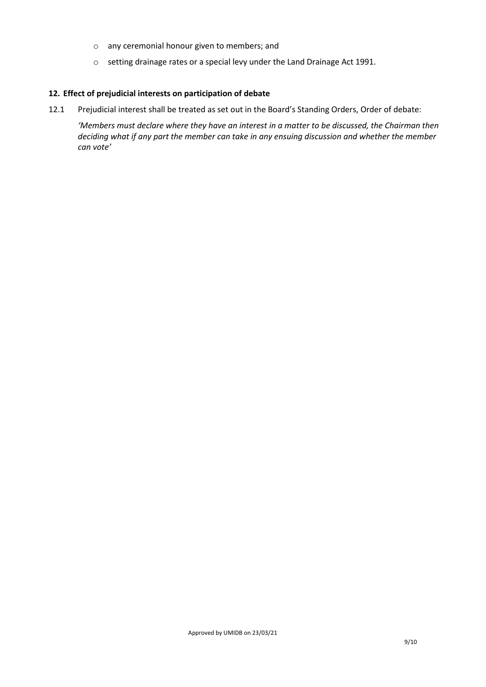- o any ceremonial honour given to members; and
- o setting drainage rates or a special levy under the Land Drainage Act 1991.

#### <span id="page-8-0"></span>**12. Effect of prejudicial interests on participation of debate**

12.1 Prejudicial interest shall be treated as set out in the Board's Standing Orders, Order of debate:

*'Members must declare where they have an interest in a matter to be discussed, the Chairman then deciding what if any part the member can take in any ensuing discussion and whether the member can vote'*